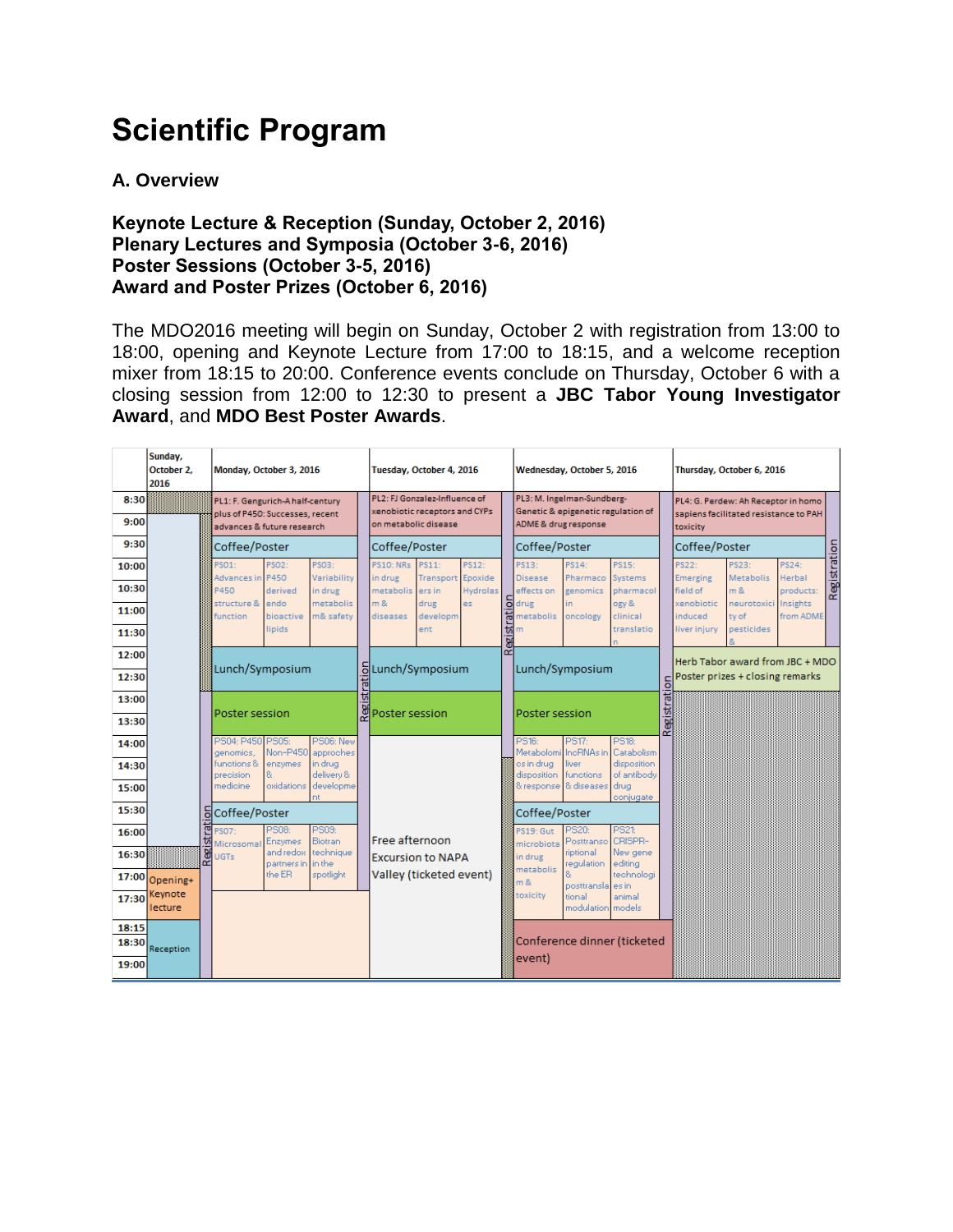# **Scientific Program**

#### **A. Overview**

#### **Keynote Lecture & Reception (Sunday, October 2, 2016) Plenary Lectures and Symposia (October 3-6, 2016) Poster Sessions (October 3-5, 2016) Award and Poster Prizes (October 6, 2016)**

The MDO2016 meeting will begin on Sunday, October 2 with registration from 13:00 to 18:00, opening and Keynote Lecture from 17:00 to 18:15, and a welcome reception mixer from 18:15 to 20:00. Conference events conclude on Thursday, October 6 with a closing session from 12:00 to 12:30 to present a **JBC Tabor Young Investigator Award**, and **MDO Best Poster Awards**.

|                | Sunday,<br>October 2.<br>2016 |        | Monday, October 3, 2016                                             |                         |                                |  | Tuesday, October 4, 2016                                       |                            |          | Wednesday, October 5, 2016 |                                                                  |                            |                             | Thursday, October 6, 2016 |                                                                              |                           |                       |              |
|----------------|-------------------------------|--------|---------------------------------------------------------------------|-------------------------|--------------------------------|--|----------------------------------------------------------------|----------------------------|----------|----------------------------|------------------------------------------------------------------|----------------------------|-----------------------------|---------------------------|------------------------------------------------------------------------------|---------------------------|-----------------------|--------------|
| 8:30           |                               |        | PL1: F. Gengurich-A half-century<br>plus of P450: Successes, recent |                         |                                |  | PL2: FJ Gonzalez-Influence of<br>xenobiotic receptors and CYPs |                            |          |                            | PL3: M. Ingelman-Sundberg-<br>Genetic & epigenetic regulation of |                            |                             |                           | PL4: G. Perdew: Ah Receptor in homo<br>sapiens facilitated resistance to PAH |                           |                       |              |
| 9:00           |                               |        | advances & future research                                          |                         |                                |  | on metabolic disease                                           |                            |          |                            | ADME & drug response                                             |                            |                             |                           | toxicity                                                                     |                           |                       |              |
| 9:30           |                               |        | Coffee/Poster                                                       |                         |                                |  | Coffee/Poster                                                  |                            |          |                            | Coffee/Poster                                                    |                            |                             |                           | Coffee/Poster                                                                |                           |                       |              |
| 10:00          |                               |        | PS01:<br>Advances in                                                | PS02:<br>P450           | PS03:<br>Variability           |  | <b>PS10: NRs</b><br>in drug                                    | PS11:<br>Transport Epoxide | PS12:    |                            | PS13:<br><b>Disease</b>                                          | PS14:<br>Pharmaco          | PS15:<br>Systems            |                           | PS22:<br>Emerging                                                            | PS23:<br><b>Metabolis</b> | PS24:<br>Herbal       | Registration |
| 10:30          |                               |        | P450                                                                | derived                 | in drug                        |  | metabolis                                                      | ers in                     | Hydrolas |                            | effects on                                                       | genomics                   | pharmacol                   |                           | field of                                                                     | m &                       | products:             |              |
| 11:00          |                               |        | structure &<br>function                                             | endo<br>bioactive       | metabolis<br>m& safety         |  | m &<br>diseases                                                | drug<br>developm           | es.      | ā<br>Ŧ.                    | drug<br>metabolis                                                | in.<br>oncology            | ogy &<br>clinical           |                           | xenobiotic<br>induced                                                        | neurotoxici<br>ty of      | Insights<br>from ADME |              |
| 11:30          |                               |        |                                                                     | lipids                  |                                |  |                                                                | ent                        |          | ಕ                          | 'n                                                               |                            | translatio                  |                           | liver injury                                                                 | pesticides                |                       |              |
| 12:00          |                               |        |                                                                     |                         |                                |  |                                                                |                            |          | Regi                       |                                                                  |                            |                             |                           |                                                                              |                           |                       |              |
| 12:30          |                               |        | ō<br>Lunch/Symposium                                                |                         |                                |  | Lunch/Symposium                                                |                            |          |                            | Lunch/Symposium                                                  |                            |                             |                           | Herb Tabor award from JBC + MDO<br>Poster prizes + closing remarks           |                           |                       |              |
| 13:00          |                               |        | Poster session                                                      |                         |                                |  | Registrati<br>Poster session                                   |                            |          |                            | Poster session                                                   |                            |                             | Registration              |                                                                              |                           |                       |              |
| 13:30          |                               |        |                                                                     |                         |                                |  |                                                                |                            |          |                            |                                                                  |                            |                             |                           |                                                                              |                           |                       |              |
| 14:00          |                               |        | PS04: P450 PS05:                                                    | Non-P450                | PS06: New                      |  |                                                                |                            |          |                            | PS16:<br>Metabolomi                                              | PS17:<br><b>IncRNAs</b> in | PS18:<br>Catabolism         |                           |                                                                              |                           |                       |              |
| 14:30          |                               |        | genomics,<br>functions &                                            | enzymes<br>8            | approches<br>in drug.          |  |                                                                |                            |          |                            | os in drug-                                                      | liver                      | disposition                 |                           |                                                                              |                           |                       |              |
| 15:00          |                               |        | precision<br>medicine                                               | oxidations              | delivery &<br>developme        |  |                                                                |                            |          |                            | disposition<br>& response & diseases                             | <b>Ifunctions</b>          | of antibody<br>drug         |                           |                                                                              |                           |                       |              |
| 15:30          |                               | ō      | nt<br>Coffee/Poster                                                 |                         |                                |  |                                                                |                            |          |                            | Coffee/Poster                                                    |                            | conjugate                   |                           |                                                                              |                           |                       |              |
| 16:00          |                               | ē<br>ы | PS07:                                                               | PS08:<br><b>Enzymes</b> | <b>PS03:</b><br><b>Biotran</b> |  | Free afternoon                                                 |                            |          |                            | PS19: Gut                                                        | PS20:<br>Posttranse        | <b>PS21:</b><br>CRISPR-     |                           |                                                                              |                           |                       |              |
| 16:30          |                               | Regi   | Microsomal<br><b>UGTs</b>                                           | and redox               | technique<br>in the            |  |                                                                | <b>Excursion to NAPA</b>   |          |                            | microbiota<br>in drug                                            | riptional                  | New gene                    |                           |                                                                              |                           |                       |              |
| 17:00          | Opening+                      |        |                                                                     | partners in<br>the ER   | spotlight                      |  |                                                                | Valley (ticketed event)    |          |                            | metabolis<br>m &                                                 | regulation                 | editing<br>technologi       |                           |                                                                              |                           |                       |              |
| 17:30          | Keynote                       |        |                                                                     |                         |                                |  |                                                                |                            |          |                            | toxicity                                                         | posttransla<br>tional      | es in<br>animal             |                           |                                                                              |                           |                       |              |
|                | lecture                       |        |                                                                     |                         |                                |  |                                                                |                            |          |                            |                                                                  | modulation                 | models                      |                           |                                                                              |                           |                       |              |
| 18:15<br>18:30 |                               |        |                                                                     |                         |                                |  |                                                                |                            |          |                            |                                                                  |                            | Conference dinner (ticketed |                           |                                                                              |                           |                       |              |
| 19:00          | Reception                     |        |                                                                     |                         |                                |  |                                                                |                            |          |                            | event)                                                           |                            |                             |                           |                                                                              |                           |                       |              |
|                |                               |        |                                                                     |                         |                                |  |                                                                |                            |          |                            |                                                                  |                            |                             |                           |                                                                              |                           |                       |              |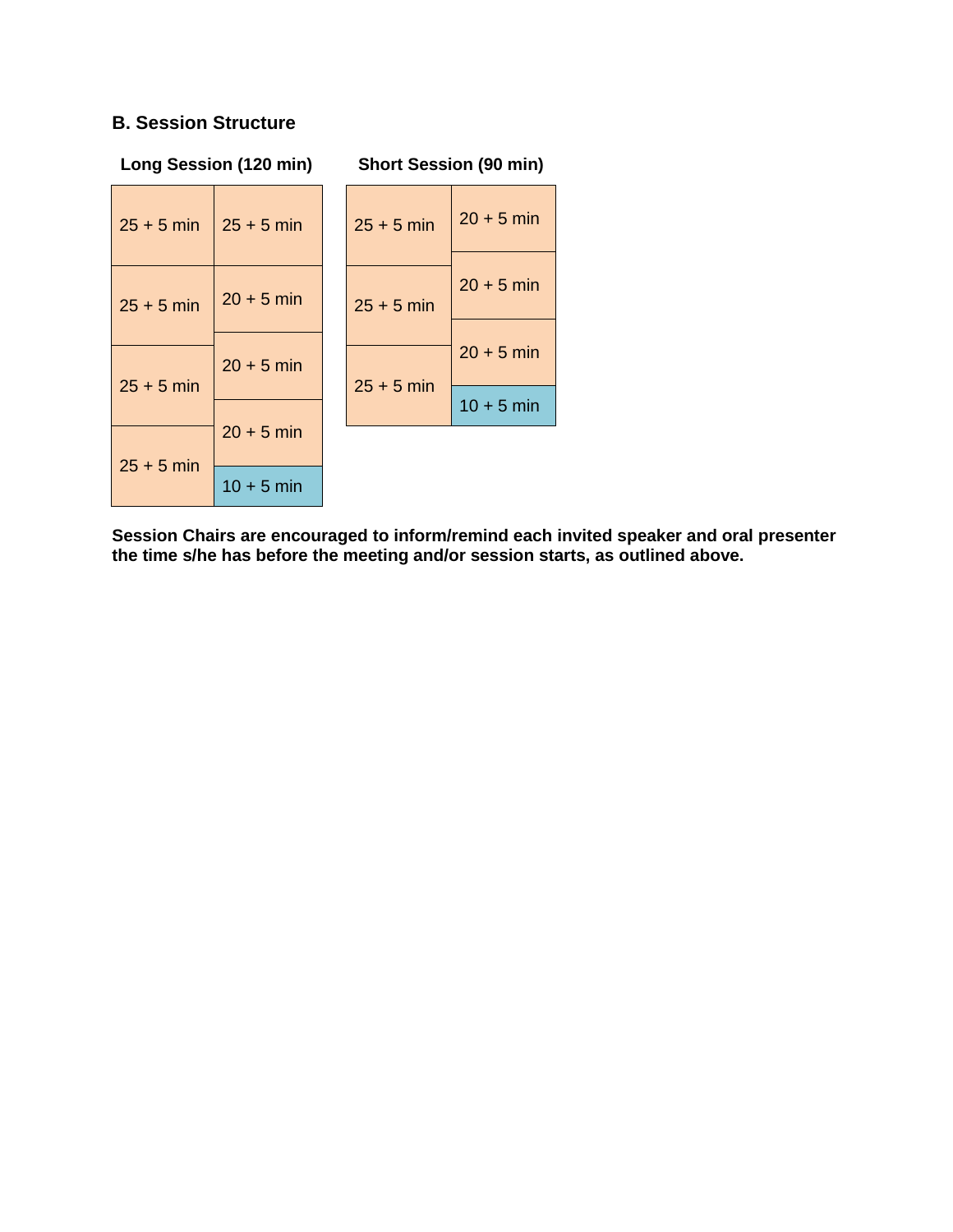#### **B. Session Structure**

|              | Long Session (120 min) |  | <b>Short Session (90 min)</b> |              |  |  |  |  |
|--------------|------------------------|--|-------------------------------|--------------|--|--|--|--|
| $25 + 5$ min | $25 + 5$ min           |  | $25 + 5$ min                  | $20 + 5$ min |  |  |  |  |
| $25 + 5$ min | $20 + 5$ min           |  | $25 + 5$ min                  | $20 + 5$ min |  |  |  |  |
| $25 + 5$ min | $20 + 5$ min           |  | $25 + 5$ min                  | $20 + 5$ min |  |  |  |  |
|              |                        |  |                               | $10 + 5$ min |  |  |  |  |
|              | $20 + 5$ min           |  |                               |              |  |  |  |  |
| $25 + 5$ min | $10 + 5$ min           |  |                               |              |  |  |  |  |

**Session Chairs are encouraged to inform/remind each invited speaker and oral presenter the time s/he has before the meeting and/or session starts, as outlined above.**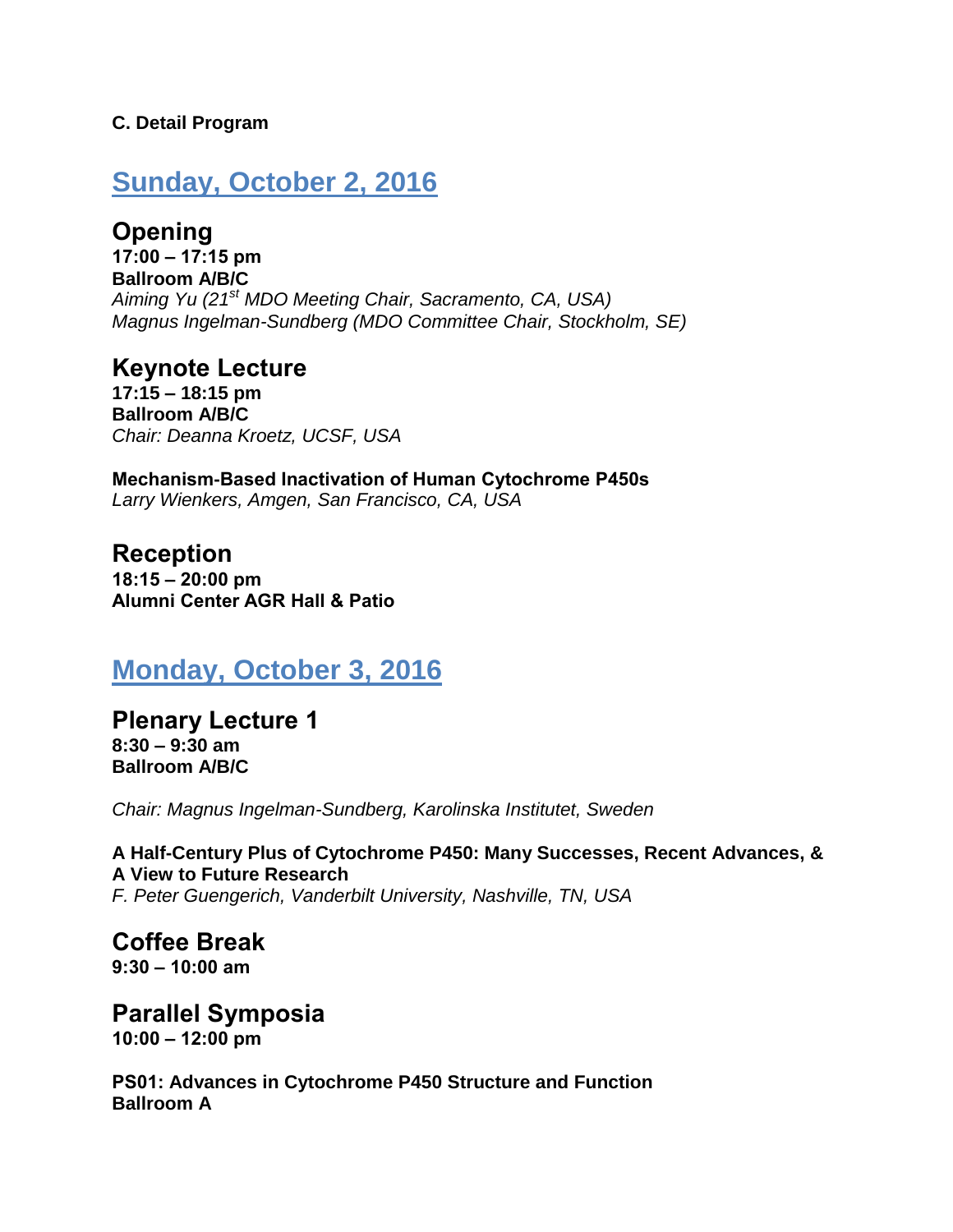#### **C. Detail Program**

# **Sunday, October 2, 2016**

**Opening 17:00 – 17:15 pm Ballroom A/B/C** *Aiming Yu (21st MDO Meeting Chair, Sacramento, CA, USA) Magnus Ingelman-Sundberg (MDO Committee Chair, Stockholm, SE)*

**Keynote Lecture 17:15 – 18:15 pm Ballroom A/B/C** *Chair: Deanna Kroetz, UCSF, USA*

**Mechanism-Based Inactivation of Human Cytochrome P450s** *Larry Wienkers, Amgen, San Francisco, CA, USA*

**Reception 18:15 – 20:00 pm Alumni Center AGR Hall & Patio**

# **Monday, October 3, 2016**

**Plenary Lecture 1 8:30 – 9:30 am Ballroom A/B/C**

*Chair: Magnus Ingelman-Sundberg, Karolinska Institutet, Sweden*

**A Half-Century Plus of Cytochrome P450: Many Successes, Recent Advances, & A View to Future Research** *F. Peter Guengerich, Vanderbilt University, Nashville, TN, USA*

**Coffee Break 9:30 – 10:00 am**

**Parallel Symposia 10:00 – 12:00 pm**

**PS01: Advances in Cytochrome P450 Structure and Function Ballroom A**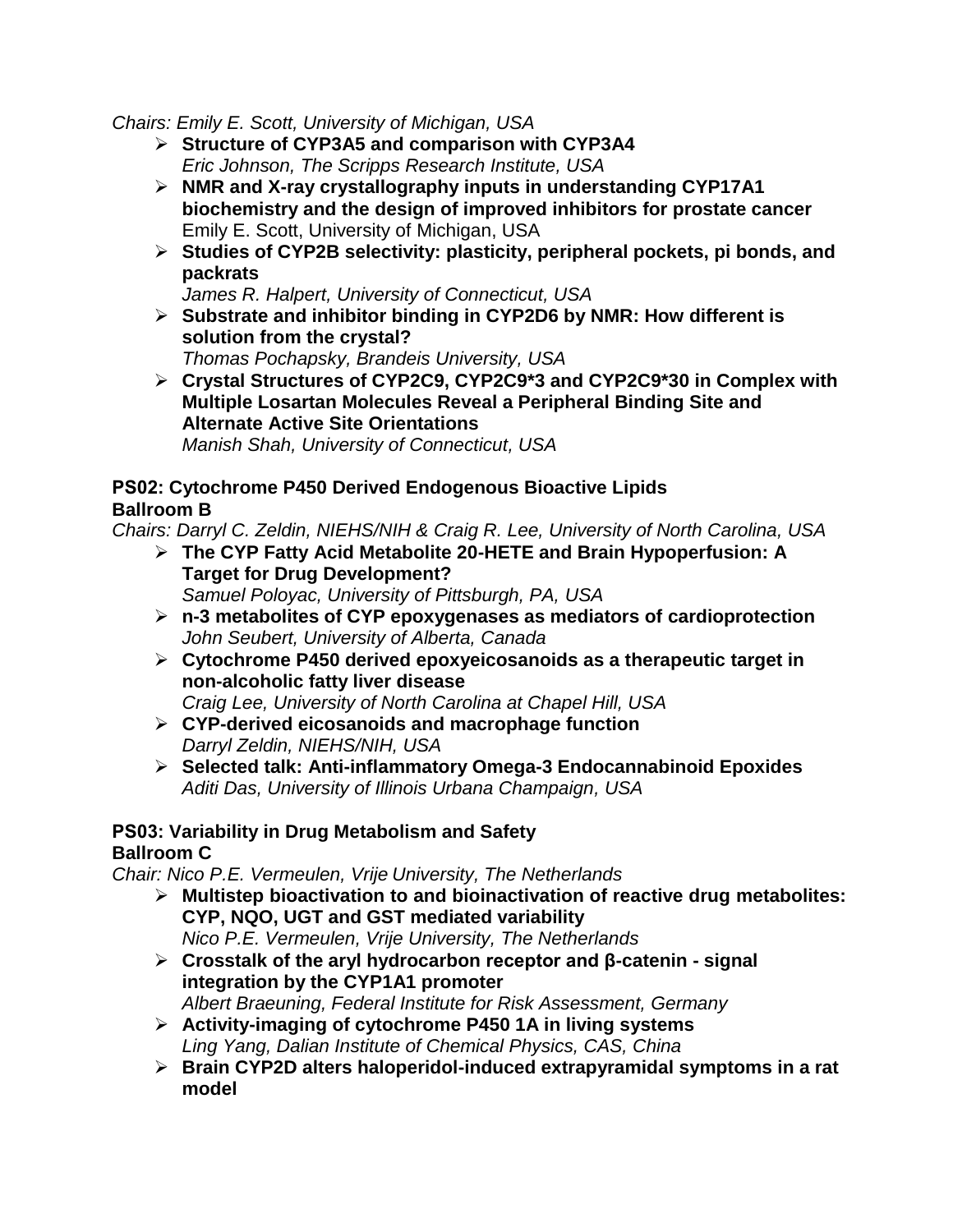*Chairs: Emily E. Scott, University of Michigan, USA*

- **Structure of CYP3A5 and comparison with CYP3A4** *Eric Johnson, [The Scripps Research Institute,](https://www.scripps.edu/research/faculty/ejohnson) USA*
- **NMR and X-ray crystallography inputs in understanding CYP17A1 biochemistry and the design of improved inhibitors for prostate cancer** Emily E. Scott, University of Michigan, USA
- **Studies of CYP2B selectivity: plasticity, peripheral pockets, pi bonds, and packrats**

*James R. Halpert, University of Connecticut, USA*

- **Substrate and inhibitor binding in CYP2D6 by NMR: How different is solution from the crystal?** *Thomas Pochapsky, Brandeis University, USA*
- **Crystal Structures of CYP2C9, CYP2C9\*3 and CYP2C9\*30 in Complex with Multiple Losartan Molecules Reveal a Peripheral Binding Site and Alternate Active Site Orientations** *Manish Shah, University of Connecticut, USA*

#### **PS02: Cytochrome P450 Derived Endogenous Bioactive Lipids Ballroom B**

*Chairs: Darryl C. Zeldin, NIEHS/NIH & Craig R. Lee, University of North Carolina, USA*

- **The CYP Fatty Acid Metabolite 20-HETE and Brain Hypoperfusion: A Target for Drug Development?** *Samuel Poloyac, University of Pittsburgh, PA, USA*
- **n-3 metabolites of CYP epoxygenases as mediators of cardioprotection**  *John Seubert, University of Alberta, Canada*
- **Cytochrome P450 derived epoxyeicosanoids as a therapeutic target in non-alcoholic fatty liver disease**

*Craig Lee, University of North Carolina at Chapel Hill, USA*

- **CYP-derived eicosanoids and macrophage function**  *Darryl Zeldin, NIEHS/NIH, USA*
- **Selected talk: Anti-inflammatory Omega-3 Endocannabinoid Epoxides** *Aditi Das, University of Illinois Urbana Champaign, USA*

## **PS03: Variability in Drug Metabolism and Safety**

## **Ballroom C**

*Chair: Nico P.E. Vermeulen, Vrije University, The Netherlands*

- **Multistep bioactivation to and bioinactivation of reactive drug metabolites: CYP, NQO, UGT and GST mediated variability** *Nico P.E. Vermeulen, Vrije University, The Netherlands*
- **Crosstalk of the aryl hydrocarbon receptor and β-catenin - signal integration by the CYP1A1 promoter** *Albert Braeuning, Federal Institute for Risk Assessment, Germany*
- **Activity-imaging of cytochrome P450 1A in living systems** *Ling Yang, Dalian Institute of Chemical Physics, CAS, China*
- **Brain CYP2D alters haloperidol-induced extrapyramidal symptoms in a rat model**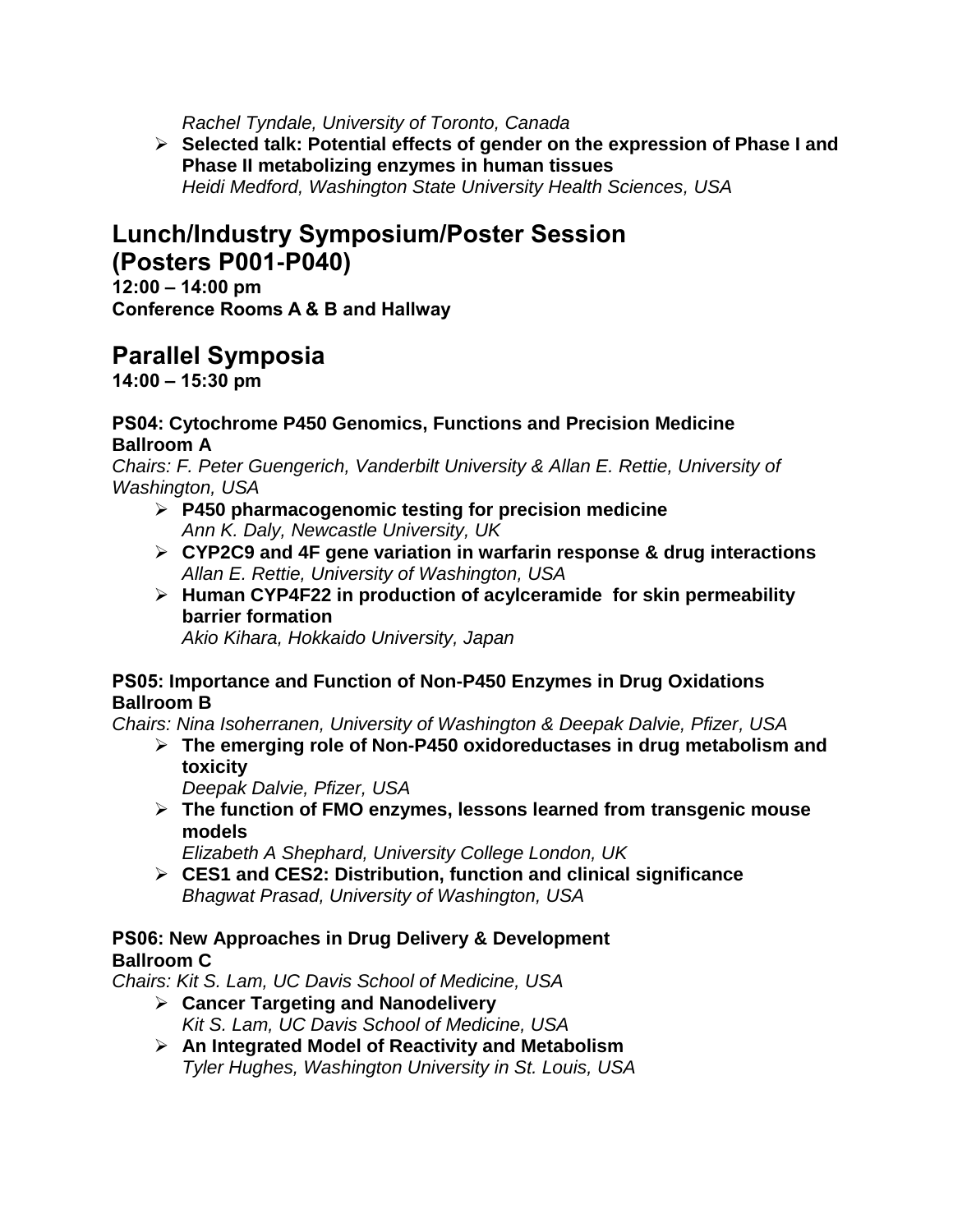*Rachel Tyndale, University of Toronto, Canada*

 **Selected talk: Potential effects of gender on the expression of Phase I and Phase II metabolizing enzymes in human tissues** *Heidi Medford, Washington State University Health Sciences, USA* 

# **Lunch/Industry Symposium/Poster Session (Posters P001-P040)**

**12:00 – 14:00 pm Conference Rooms A & B and Hallway**

# **Parallel Symposia**

**14:00 – 15:30 pm**

#### **PS04: Cytochrome P450 Genomics, Functions and Precision Medicine Ballroom A**

*Chairs: F. Peter Guengerich, Vanderbilt University & Allan E. Rettie, University of Washington, USA*

- **P450 pharmacogenomic testing for precision medicine** *Ann K. Daly, Newcastle University, UK*
- **CYP2C9 and 4F gene variation in warfarin response & drug interactions** *Allan E. Rettie, University of Washington, USA*
- **Human CYP4F22 in production of acylceramide for skin permeability barrier formation**

*Akio Kihara, Hokkaido University, Japan* 

#### **PS05: Importance and Function of Non-P450 Enzymes in Drug Oxidations Ballroom B**

*Chairs: Nina Isoherranen, University of Washington & Deepak Dalvie, Pfizer, USA*

 **The emerging role of Non-P450 oxidoreductases in drug metabolism and toxicity**

*Deepak Dalvie, Pfizer, USA*

 **The function of FMO enzymes, lessons learned from transgenic mouse models**

*Elizabeth A Shephard, University College London, UK*

 **CES1 and CES2: Distribution, function and clinical significance** *Bhagwat Prasad, University of Washington, USA*

### **PS06: New Approaches in Drug Delivery & Development Ballroom C**

*Chairs: Kit S. Lam, UC Davis School of Medicine, USA*

- **Cancer Targeting and Nanodelivery** *Kit S. Lam, UC Davis School of Medicine, USA*
- **An Integrated Model of Reactivity and Metabolism** *Tyler Hughes, Washington University in St. Louis, USA*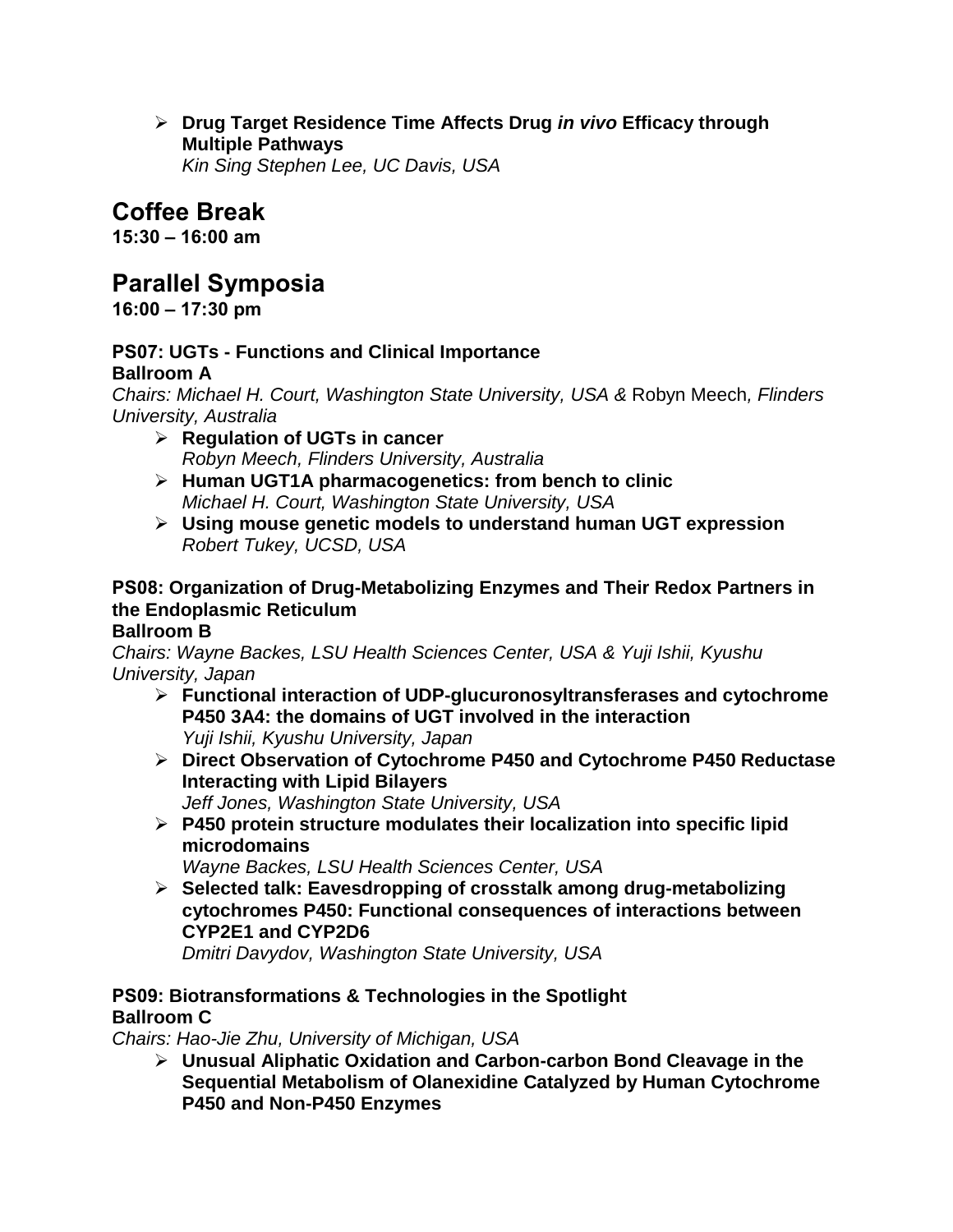**Drug Target Residence Time Affects Drug** *in vivo* **Efficacy through Multiple Pathways**

*Kin Sing Stephen Lee, UC Davis, USA*

# **Coffee Break**

**15:30 – 16:00 am**

# **Parallel Symposia**

**16:00 – 17:30 pm**

#### **PS07: UGTs - Functions and Clinical Importance Ballroom A**

*Chairs: Michael H. Court, Washington State University, USA &* Robyn Meech*, Flinders University, Australia* 

- **Regulation of UGTs in cancer** *Robyn Meech, Flinders University, Australia*
- **Human UGT1A pharmacogenetics: from bench to clinic** *Michael H. Court, Washington State University, USA*
- **Using mouse genetic models to understand human UGT expression** *Robert Tukey, UCSD, USA*

## **PS08: Organization of Drug-Metabolizing Enzymes and Their Redox Partners in the Endoplasmic Reticulum**

## **Ballroom B**

*Chairs: Wayne Backes, LSU Health Sciences Center, USA & Yuji Ishii, Kyushu University, Japan*

- **Functional interaction of UDP-glucuronosyltransferases and cytochrome P450 3A4: the domains of UGT involved in the interaction** *Yuji Ishii, Kyushu University, Japan*
- **Direct Observation of Cytochrome P450 and Cytochrome P450 Reductase Interacting with Lipid Bilayers** *Jeff Jones, Washington State University, USA*
- **P450 protein structure modulates their localization into specific lipid microdomains**

*Wayne Backes, LSU Health Sciences Center, USA*

 **Selected talk: Eavesdropping of crosstalk among drug-metabolizing cytochromes P450: Functional consequences of interactions between CYP2E1 and CYP2D6** *Dmitri Davydov, Washington State University, USA*

### **PS09: Biotransformations & Technologies in the Spotlight Ballroom C**

*Chairs: Hao-Jie Zhu, University of Michigan, USA*

 **Unusual Aliphatic Oxidation and Carbon-carbon Bond Cleavage in the Sequential Metabolism of Olanexidine Catalyzed by Human Cytochrome P450 and Non-P450 Enzymes**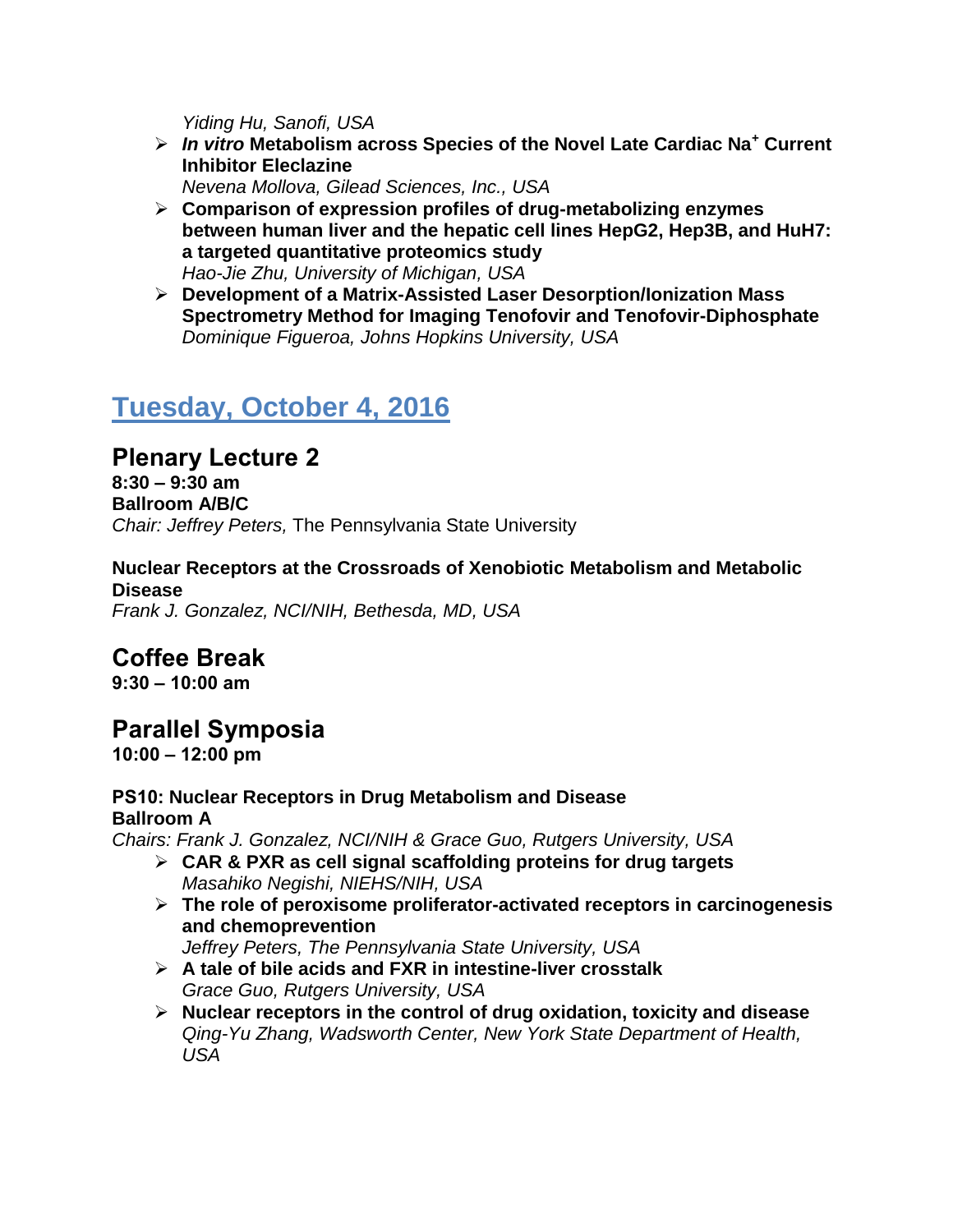*Yiding Hu, Sanofi, USA*

 *In vitro* **Metabolism across Species of the Novel Late Cardiac Na<sup>+</sup> Current Inhibitor Eleclazine**

*Nevena Mollova, Gilead Sciences, Inc., USA*

- **Comparison of expression profiles of drug-metabolizing enzymes between human liver and the hepatic cell lines HepG2, Hep3B, and HuH7: a targeted quantitative proteomics study** *Hao-Jie Zhu, University of Michigan, USA*
- **Development of a Matrix-Assisted Laser Desorption/Ionization Mass Spectrometry Method for Imaging Tenofovir and Tenofovir-Diphosphate** *Dominique Figueroa, Johns Hopkins University, USA*

# **Tuesday, October 4, 2016**

# **Plenary Lecture 2**

**8:30 – 9:30 am Ballroom A/B/C** *Chair: Jeffrey Peters,* The Pennsylvania State University

**Nuclear Receptors at the Crossroads of Xenobiotic Metabolism and Metabolic Disease** *Frank J. Gonzalez, NCI/NIH, Bethesda, MD, USA*

# **Coffee Break**

**9:30 – 10:00 am**

# **Parallel Symposia**

**10:00 – 12:00 pm**

#### **PS10: Nuclear Receptors in Drug Metabolism and Disease Ballroom A**

*Chairs: Frank J. Gonzalez, NCI/NIH & Grace Guo, Rutgers University, USA*

- **CAR & PXR as cell signal scaffolding proteins for drug targets** *Masahiko Negishi, NIEHS/NIH, USA*
- **The role of peroxisome proliferator-activated receptors in carcinogenesis and chemoprevention**

*Jeffrey Peters, The Pennsylvania State University, USA*

- **A tale of bile acids and FXR in intestine-liver crosstalk** *Grace Guo, Rutgers University, USA*
- **Nuclear receptors in the control of drug oxidation, toxicity and disease** *Qing-Yu Zhang, Wadsworth Center, New York State Department of Health, USA*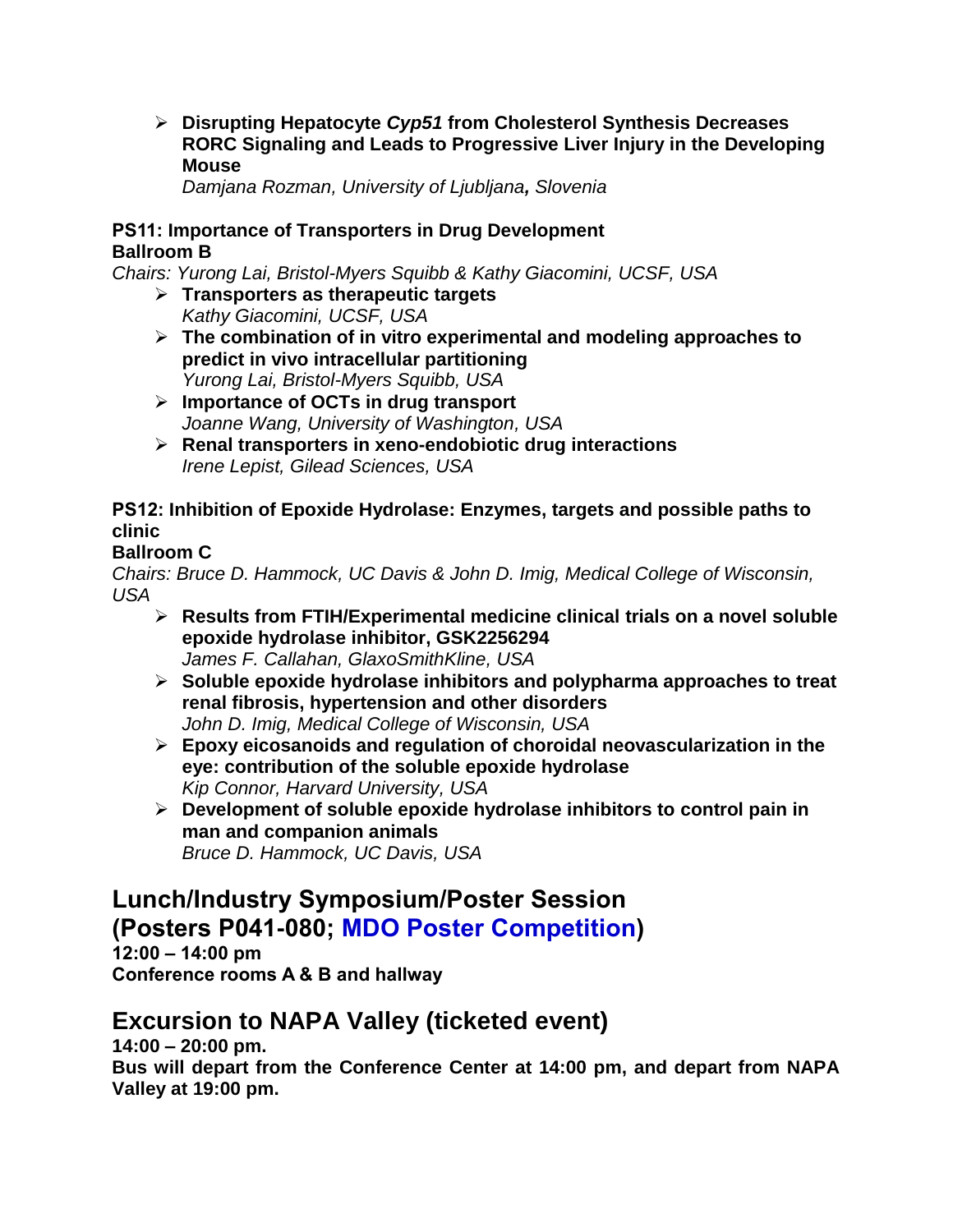**Disrupting Hepatocyte** *Cyp51* **from Cholesterol Synthesis Decreases RORC Signaling and Leads to Progressive Liver Injury in the Developing Mouse**

*Damjana Rozman, University of Ljubljana, Slovenia*

### **PS11: Importance of Transporters in Drug Development Ballroom B**

*Chairs: Yurong Lai, Bristol-Myers Squibb & Kathy Giacomini, UCSF, USA*

- **Transporters as therapeutic targets** *Kathy Giacomini, UCSF, USA*
- **The combination of in vitro experimental and modeling approaches to predict in vivo intracellular partitioning** *Yurong Lai, Bristol-Myers Squibb, USA*
- **Importance of OCTs in drug transport** *Joanne Wang, University of Washington, USA*
- **Renal transporters in xeno-endobiotic drug interactions** *Irene Lepist, Gilead Sciences, USA*

## **PS12: Inhibition of Epoxide Hydrolase: Enzymes, targets and possible paths to clinic**

## **Ballroom C**

*Chairs: Bruce D. Hammock, UC Davis & John D. Imig, Medical College of Wisconsin, USA*

- **Results from FTIH/Experimental medicine clinical trials on a novel soluble epoxide hydrolase inhibitor, GSK2256294** *James F. Callahan, GlaxoSmithKline, USA*
- **Soluble epoxide hydrolase inhibitors and polypharma approaches to treat renal fibrosis, hypertension and other disorders**  *John D. Imig, Medical College of Wisconsin, USA*
- **Epoxy eicosanoids and regulation of choroidal neovascularization in the eye: contribution of the soluble epoxide hydrolase** *Kip Connor, Harvard University, USA*
- **Development of soluble epoxide hydrolase inhibitors to control pain in man and companion animals** *Bruce D. Hammock, UC Davis, USA*

# **Lunch/Industry Symposium/Poster Session (Posters P041-080; MDO Poster Competition)**

**12:00 – 14:00 pm Conference rooms A & B and hallway**

# **Excursion to NAPA Valley (ticketed event)**

**14:00 – 20:00 pm.** 

**Bus will depart from the Conference Center at 14:00 pm, and depart from NAPA Valley at 19:00 pm.**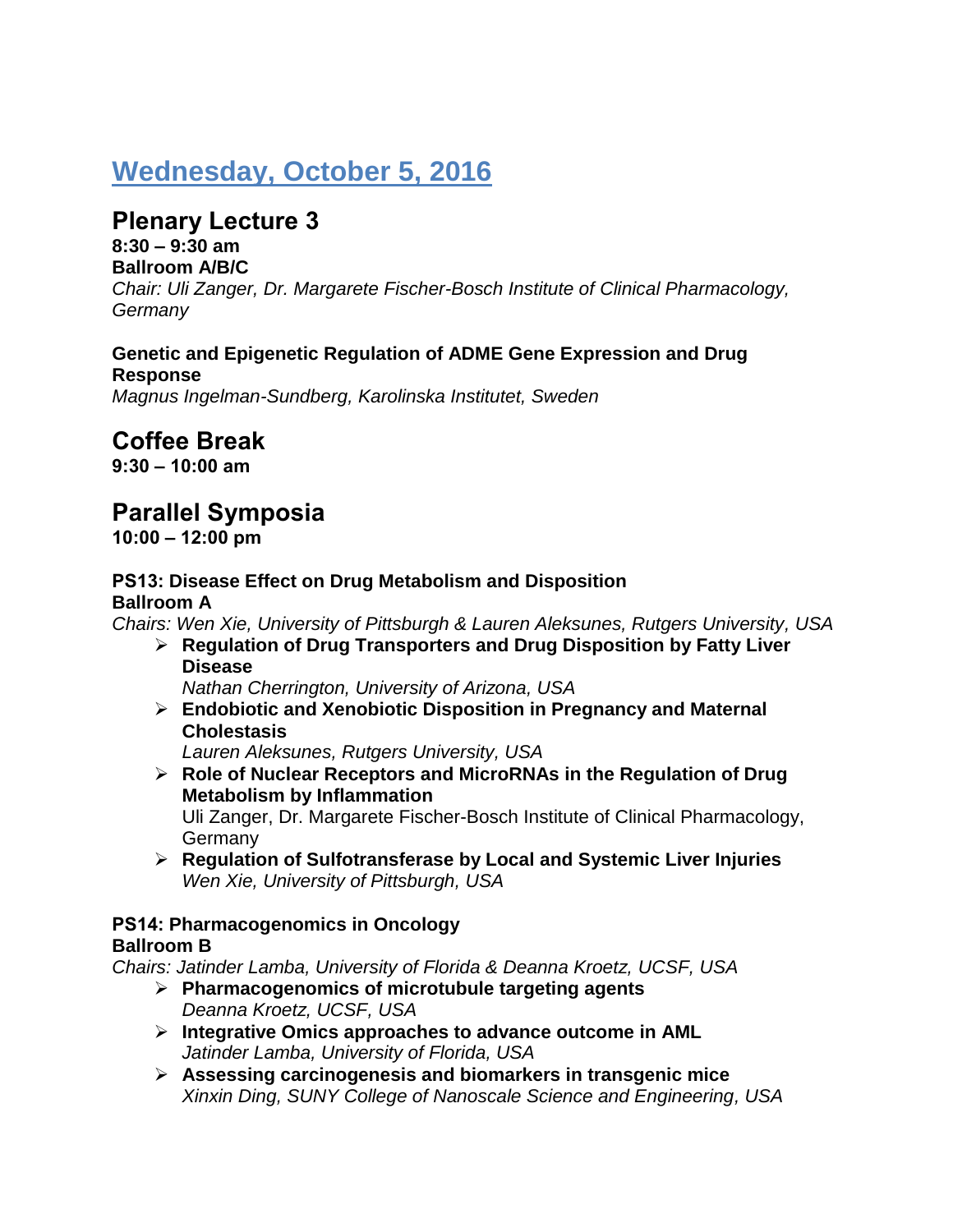# **Wednesday, October 5, 2016**

# **Plenary Lecture 3**

**8:30 – 9:30 am Ballroom A/B/C**

*Chair: Uli Zanger, Dr. Margarete Fischer-Bosch Institute of Clinical Pharmacology, Germany*

#### **Genetic and Epigenetic Regulation of ADME Gene Expression and Drug Response**

*Magnus Ingelman-Sundberg, Karolinska Institutet, Sweden*

# **Coffee Break**

**9:30 – 10:00 am**

# **Parallel Symposia**

**10:00 – 12:00 pm**

### **PS13: Disease Effect on Drug Metabolism and Disposition Ballroom A**

*Chairs: Wen Xie, University of Pittsburgh & Lauren Aleksunes, Rutgers University, USA*

 **Regulation of Drug Transporters and Drug Disposition by Fatty Liver Disease**

*Nathan Cherrington, University of Arizona, USA*

 **Endobiotic and Xenobiotic Disposition in Pregnancy and Maternal Cholestasis**

*Lauren Aleksunes, Rutgers University, USA*

 **Role of Nuclear Receptors and MicroRNAs in the Regulation of Drug Metabolism by Inflammation**

Uli Zanger, Dr. Margarete Fischer-Bosch Institute of Clinical Pharmacology, **Germany** 

 **Regulation of Sulfotransferase by Local and Systemic Liver Injuries** *Wen Xie, University of Pittsburgh, USA*

#### **PS14: Pharmacogenomics in Oncology Ballroom B**

*Chairs: Jatinder Lamba, University of Florida & Deanna Kroetz, UCSF, USA*

- **Pharmacogenomics of microtubule targeting agents** *Deanna Kroetz, UCSF, USA*
- **Integrative Omics approaches to advance outcome in AML** *Jatinder Lamba, University of Florida, USA*
- **Assessing carcinogenesis and biomarkers in transgenic mice** *Xinxin Ding, SUNY College of Nanoscale Science and Engineering, USA*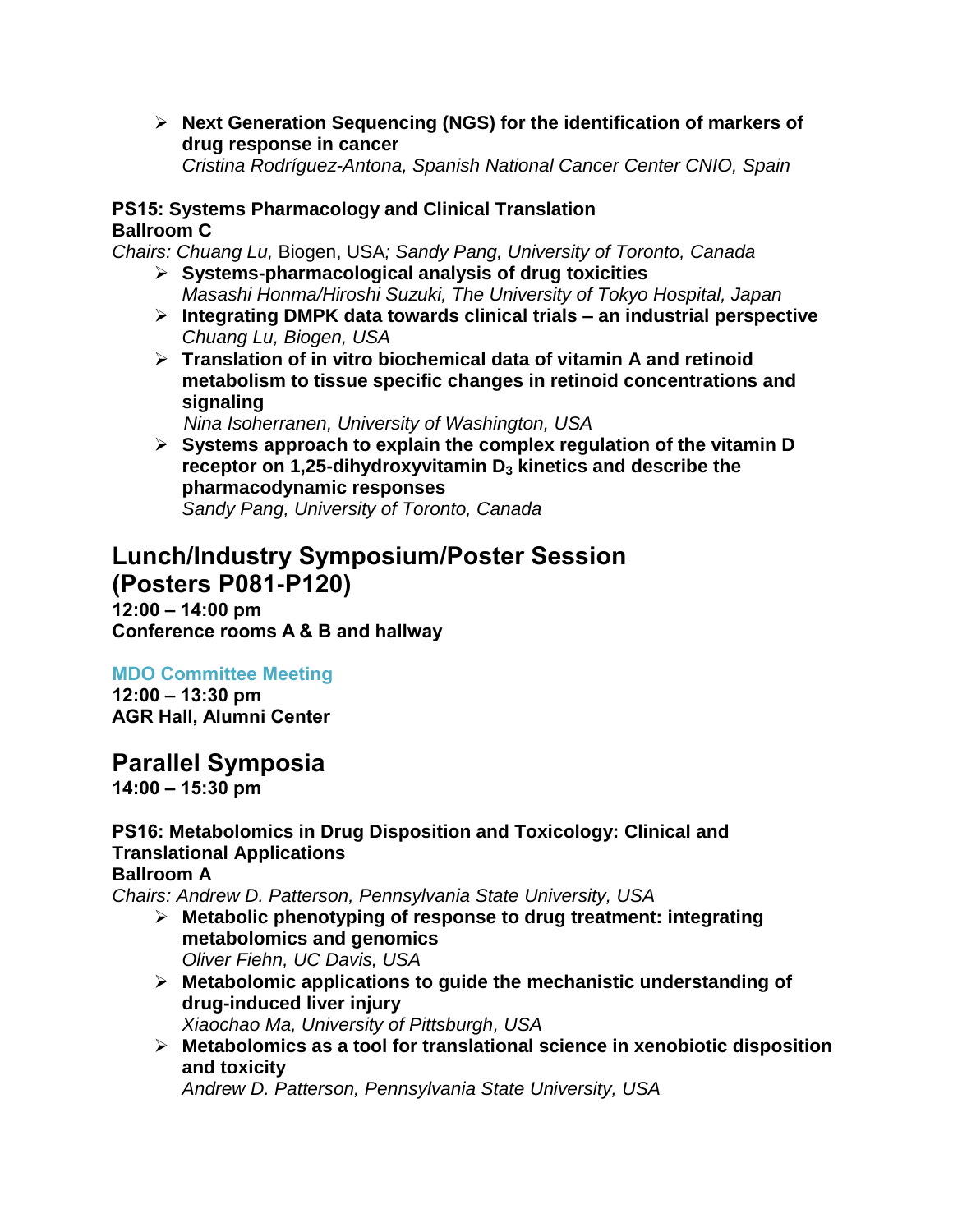**Next Generation Sequencing (NGS) for the identification of markers of drug response in cancer**

*Cristina Rodríguez-Antona, Spanish National Cancer Center CNIO, Spain*

#### **PS15: Systems Pharmacology and Clinical Translation Ballroom C**

*Chairs: Chuang Lu,* Biogen, USA*; Sandy Pang, University of Toronto, Canada*

- **Systems-pharmacological analysis of drug toxicities** *Masashi Honma/Hiroshi Suzuki, The University of Tokyo Hospital, Japan*
- **Integrating DMPK data towards clinical trials – an industrial perspective** *Chuang Lu, Biogen, USA*
- **Translation of in vitro biochemical data of vitamin A and retinoid metabolism to tissue specific changes in retinoid concentrations and signaling**

 *Nina Isoherranen, University of Washington, USA*

 **Systems approach to explain the complex regulation of the vitamin D receptor on 1,25-dihydroxyvitamin D<sup>3</sup> kinetics and describe the pharmacodynamic responses** *Sandy Pang, University of Toronto, Canada*

## **Lunch/Industry Symposium/Poster Session (Posters P081-P120)**

**12:00 – 14:00 pm Conference rooms A & B and hallway**

## **MDO Committee Meeting**

**12:00 – 13:30 pm AGR Hall, Alumni Center**

# **Parallel Symposia**

**14:00 – 15:30 pm**

## **PS16: Metabolomics in Drug Disposition and Toxicology: Clinical and Translational Applications**

### **Ballroom A**

*Chairs: Andrew D. Patterson, Pennsylvania State University, USA*

- **Metabolic phenotyping of response to drug treatment: integrating metabolomics and genomics** *Oliver Fiehn, UC Davis, USA*
- **Metabolomic applications to guide the mechanistic understanding of drug-induced liver injury** *Xiaochao Ma, University of Pittsburgh, USA*
- **Metabolomics as a tool for translational science in xenobiotic disposition and toxicity**

*Andrew D. Patterson, Pennsylvania State University, USA*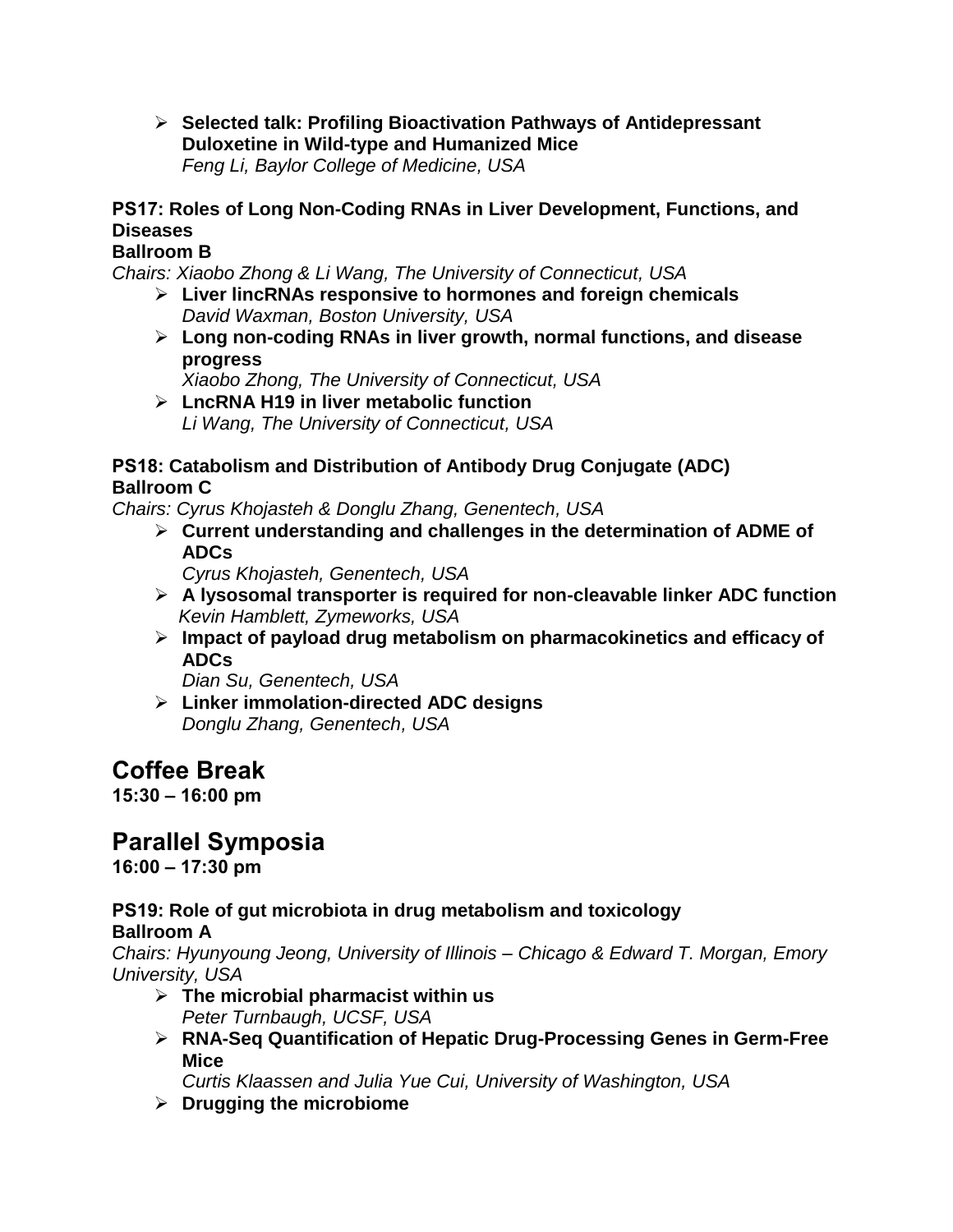**Selected talk: Profiling Bioactivation Pathways of Antidepressant Duloxetine in Wild-type and Humanized Mice** *Feng Li, Baylor College of Medicine, USA*

## **PS17: Roles of Long Non-Coding RNAs in Liver Development, Functions, and Diseases**

### **Ballroom B**

*Chairs: Xiaobo Zhong & Li Wang, The University of Connecticut, USA*

- **Liver lincRNAs responsive to hormones and foreign chemicals** *David Waxman, Boston University, USA*
- **Long non-coding RNAs in liver growth, normal functions, and disease progress**

*Xiaobo Zhong, The University of Connecticut, USA*

 **LncRNA H19 in liver metabolic function** *Li Wang, The University of Connecticut, USA*

#### **PS18: Catabolism and Distribution of Antibody Drug Conjugate (ADC) Ballroom C**

*Chairs: Cyrus Khojasteh & Donglu Zhang, Genentech, USA*

- **Current understanding and challenges in the determination of ADME of ADCs**
	- *Cyrus Khojasteh, Genentech, USA*
- **A lysosomal transporter is required for non-cleavable linker ADC function**  *Kevin Hamblett, Zymeworks, USA*
- **Impact of payload drug metabolism on pharmacokinetics and efficacy of ADCs**

*Dian Su, Genentech, USA*

 **Linker immolation-directed ADC designs** *Donglu Zhang, Genentech, USA*

# **Coffee Break**

**15:30 – 16:00 pm**

# **Parallel Symposia**

**16:00 – 17:30 pm**

# **PS19: Role of gut microbiota in drug metabolism and toxicology**

**Ballroom A**

*Chairs: Hyunyoung Jeong, University of Illinois – Chicago & Edward T. Morgan, Emory University, USA*

- **The microbial pharmacist within us**
	- *Peter Turnbaugh, UCSF, USA*
- **RNA-Seq Quantification of Hepatic Drug-Processing Genes in Germ-Free Mice**

*Curtis Klaassen and Julia Yue Cui, University of Washington, USA*

**Drugging the microbiome**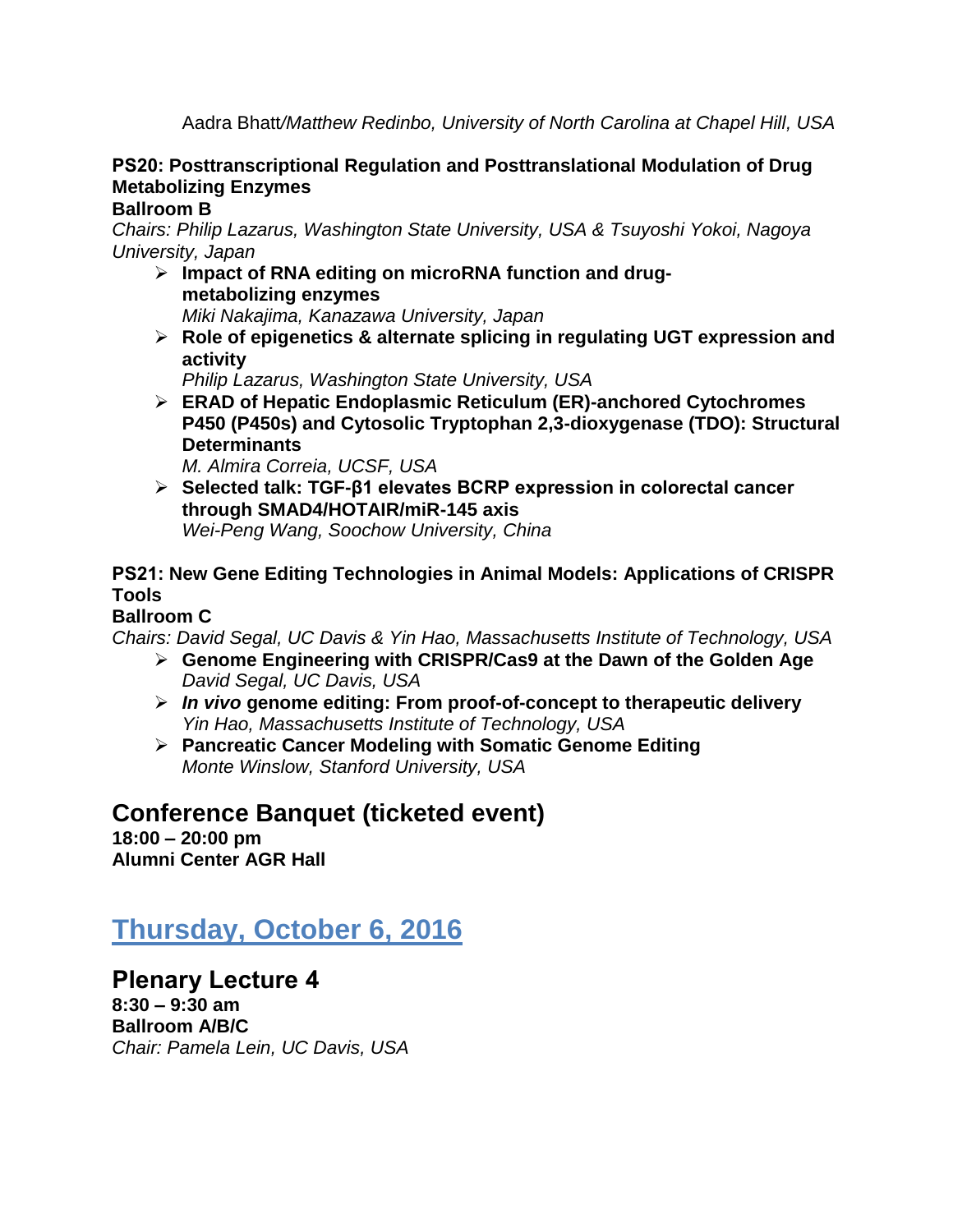Aadra Bhatt*/Matthew Redinbo, University of North Carolina at Chapel Hill, USA*

### **PS20: Posttranscriptional Regulation and Posttranslational Modulation of Drug Metabolizing Enzymes**

### **Ballroom B**

*Chairs: Philip Lazarus, Washington State University, USA & Tsuyoshi Yokoi, Nagoya University, Japan*

- **Impact of RNA editing on microRNA function and drugmetabolizing enzymes** *Miki Nakajima, Kanazawa University, Japan*
- **Role of epigenetics & alternate splicing in regulating UGT expression and activity**

*Philip Lazarus, Washington State University, USA*

 **ERAD of Hepatic Endoplasmic Reticulum (ER)-anchored Cytochromes P450 (P450s) and Cytosolic Tryptophan 2,3-dioxygenase (TDO): Structural Determinants**

*M. Almira Correia, UCSF, USA*

 **Selected talk: TGF-β1 elevates BCRP expression in colorectal cancer through SMAD4/HOTAIR/miR-145 axis** *Wei-Peng Wang, Soochow University, China*

### **PS21: New Gene Editing Technologies in Animal Models: Applications of CRISPR Tools**

### **Ballroom C**

*Chairs: David Segal, UC Davis & Yin Hao, Massachusetts Institute of Technology, USA*

- **Genome Engineering with CRISPR/Cas9 at the Dawn of the Golden Age** *David Segal, UC Davis, USA*
- *In vivo* **genome editing: From proof-of-concept to therapeutic delivery** *Yin Hao, Massachusetts Institute of Technology, USA*
- **Pancreatic Cancer Modeling with Somatic Genome Editing** *Monte Winslow, Stanford University, USA*

# **Conference Banquet (ticketed event)**

**18:00 – 20:00 pm Alumni Center AGR Hall**

# **Thursday, October 6, 2016**

**Plenary Lecture 4 8:30 – 9:30 am Ballroom A/B/C** *Chair: Pamela Lein, UC Davis, USA*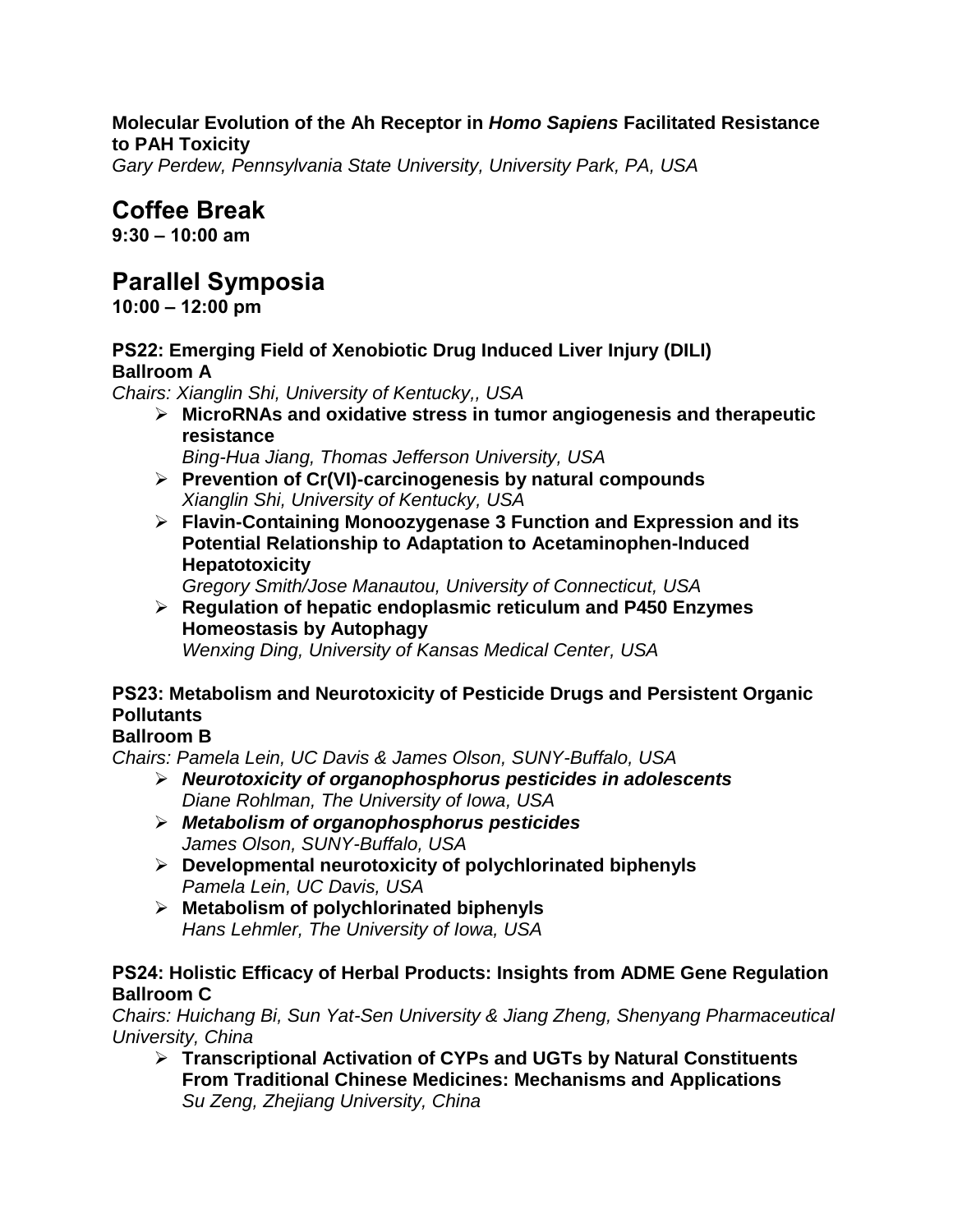#### **Molecular Evolution of the Ah Receptor in** *Homo Sapiens* **Facilitated Resistance to PAH Toxicity**

*Gary Perdew, Pennsylvania State University, University Park, PA, USA*

# **Coffee Break**

**9:30 – 10:00 am**

# **Parallel Symposia**

**10:00 – 12:00 pm**

#### **PS22: Emerging Field of Xenobiotic Drug Induced Liver Injury (DILI) Ballroom A**

*Chairs: Xianglin Shi, University of Kentucky,, USA*

 **MicroRNAs and oxidative stress in tumor angiogenesis and therapeutic resistance**

*Bing-Hua Jiang, Thomas Jefferson University, USA*

- **Prevention of Cr(VI)-carcinogenesis by natural compounds** *Xianglin Shi, University of Kentucky, USA*
- **Flavin-Containing Monoozygenase 3 Function and Expression and its Potential Relationship to Adaptation to Acetaminophen-Induced Hepatotoxicity**

*Gregory Smith/Jose Manautou, University of Connecticut, USA*

 **Regulation of hepatic endoplasmic reticulum and P450 Enzymes Homeostasis by Autophagy** *Wenxing Ding, University of Kansas Medical Center, USA*

### **PS23: Metabolism and Neurotoxicity of Pesticide Drugs and Persistent Organic Pollutants**

### **Ballroom B**

*Chairs: Pamela Lein, UC Davis & James Olson, SUNY-Buffalo, USA*

- *Neurotoxicity of organophosphorus pesticides in adolescents Diane Rohlman, The University of Iowa, USA*
- *Metabolism of organophosphorus pesticides James Olson, SUNY-Buffalo, USA*
- **Developmental neurotoxicity of polychlorinated biphenyls** *Pamela Lein, UC Davis, USA*
- **Metabolism of polychlorinated biphenyls** *Hans Lehmler, The University of Iowa, USA*

#### **PS24: Holistic Efficacy of Herbal Products: Insights from ADME Gene Regulation Ballroom C**

*Chairs: Huichang Bi, Sun Yat-Sen University & Jiang Zheng, Shenyang Pharmaceutical University, China*

 **Transcriptional Activation of CYPs and UGTs by Natural Constituents From Traditional Chinese Medicines: Mechanisms and Applications** *Su Zeng, Zhejiang University, China*